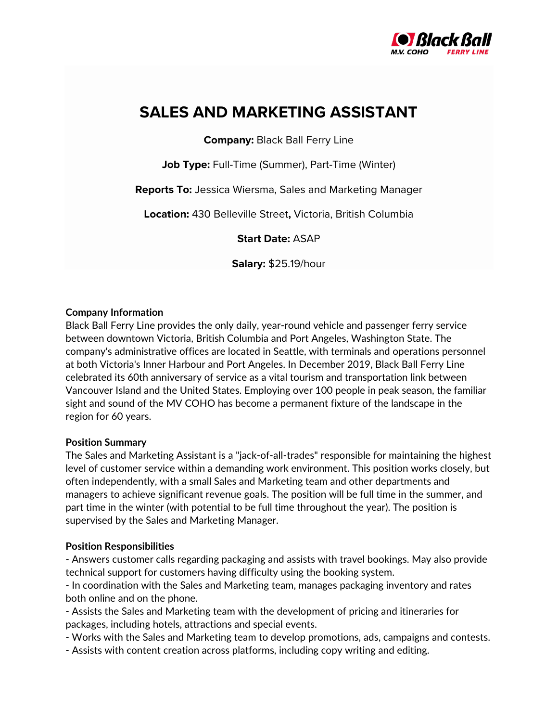

# **SALES AND MARKETING ASSISTANT**

**Company:** Black Ball Ferry Line

**Job Type:** Full-Time (Summer), Part-Time (Winter)

**Reports To:** Jessica Wiersma, Sales and Marketing Manager

**Location:** 430 Belleville Street**,** Victoria, British Columbia

**Start Date:** ASAP

**Salary:** \$25.19/hour

## **Company Information**

Black Ball Ferry Line provides the only daily, year-round vehicle and passenger ferry service between downtown Victoria, British Columbia and Port Angeles, Washington State. The company's administrative offices are located in Seattle, with terminals and operations personnel at both Victoria's Inner Harbour and Port Angeles. In December 2019, Black Ball Ferry Line celebrated its 60th anniversary of service as a vital tourism and transportation link between Vancouver Island and the United States. Employing over 100 people in peak season, the familiar sight and sound of the MV COHO has become a permanent fixture of the landscape in the region for 60 years.

### **Position Summary**

The Sales and Marketing Assistant is a "jack-of-all-trades" responsible for maintaining the highest level of customer service within a demanding work environment. This position works closely, but often independently, with a small Sales and Marketing team and other departments and managers to achieve significant revenue goals. The position will be full time in the summer, and part time in the winter (with potential to be full time throughout the year). The position is supervised by the Sales and Marketing Manager.

## **Position Responsibilities**

- Answers customer calls regarding packaging and assists with travel bookings. May also provide technical support for customers having difficulty using the booking system.

- In coordination with the Sales and Marketing team, manages packaging inventory and rates both online and on the phone.

- Assists the Sales and Marketing team with the development of pricing and itineraries for packages, including hotels, attractions and special events.

- Works with the Sales and Marketing team to develop promotions, ads, campaigns and contests.
- Assists with content creation across platforms, including copy writing and editing.